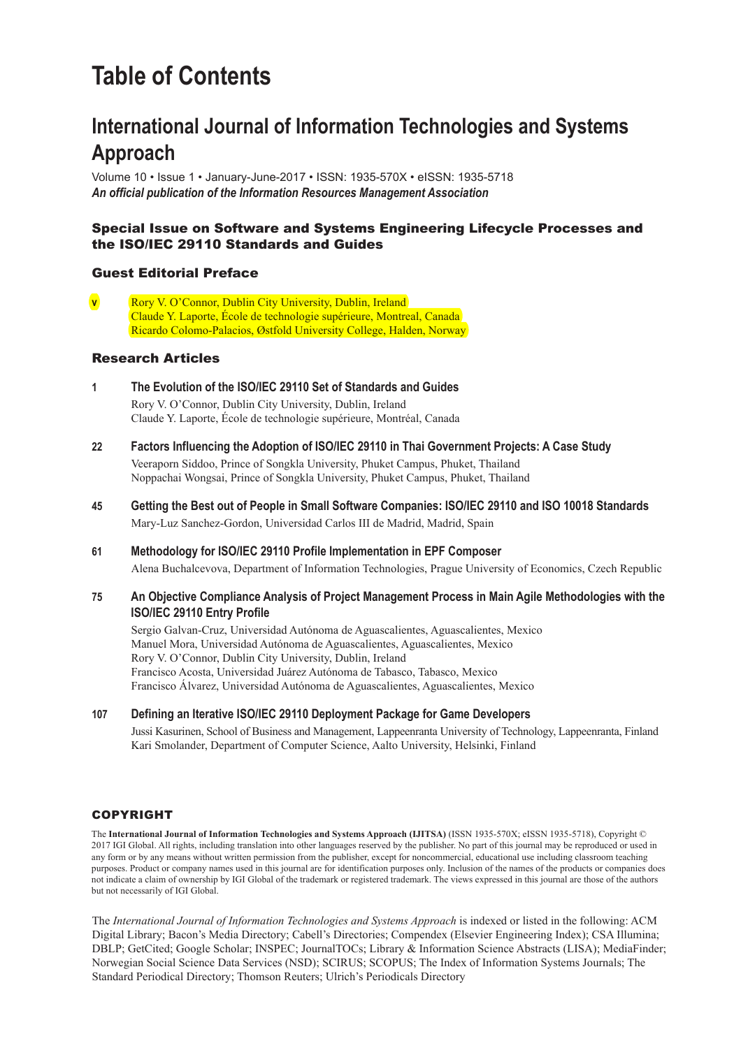## **Table of Contents**

### **International Journal of Information Technologies and Systems Approach**

Volume 10 • Issue 1 • January-June-2017 • ISSN: 1935-570X • eISSN: 1935-5718 *An official publication of the Information Resources Management Association*

### Special Issue on Software and Systems Engineering Lifecycle Processes and the ISO/IEC 29110 Standards and Guides**;**

#### Guest Editorial Preface

**v** Rory V. O'Connor, Dublin City University, Dublin, Ireland Claude Y. Laporte, École de technologie supérieure, Montreal, Canada Ricardo Colomo-Palacios, Østfold University College, Halden, Norway

#### Research Articles

- **1 The Evolution of the ISO/IEC 29110 Set of Standards and Guides;** Rory V. O'Connor, Dublin City University, Dublin, Ireland Claude Y. Laporte, École de technologie supérieure, Montréal, Canada
- **22 Factors Influencing the Adoption of ISO/IEC 29110 in Thai Government Projects: A Case Study;** Veeraporn Siddoo, Prince of Songkla University, Phuket Campus, Phuket, Thailand Noppachai Wongsai, Prince of Songkla University, Phuket Campus, Phuket, Thailand
- **45 Getting the Best out of People in Small Software Companies: ISO/IEC 29110 and ISO 10018 Standards;** Mary-Luz Sanchez-Gordon, Universidad Carlos III de Madrid, Madrid, Spain
- **61 Methodology for ISO/IEC 29110 Profile Implementation in EPF Composer;** Alena Buchalcevova, Department of Information Technologies, Prague University of Economics, Czech Republic
- **75 An Objective Compliance Analysis of Project Management Process in Main Agile Methodologies with the ISO/IEC 29110 Entry Profile;**

Sergio Galvan-Cruz, Universidad Autónoma de Aguascalientes, Aguascalientes, Mexico Manuel Mora, Universidad Autónoma de Aguascalientes, Aguascalientes, Mexico Rory V. O'Connor, Dublin City University, Dublin, Ireland Francisco Acosta, Universidad Juárez Autónoma de Tabasco, Tabasco, Mexico Francisco Álvarez, Universidad Autónoma de Aguascalientes, Aguascalientes, Mexico

**107 Defining an Iterative ISO/IEC 29110 Deployment Package for Game Developers;**

Jussi Kasurinen, School of Business and Management, Lappeenranta University of Technology, Lappeenranta, Finland Kari Smolander, Department of Computer Science, Aalto University, Helsinki, Finland

#### **COPYRIGHT**

The **International Journal of Information Technologies and Systems Approach (IJITSA)** (ISSN 1935-570X; eISSN 1935-5718), Copyright © 2017 IGI Global. All rights, including translation into other languages reserved by the publisher. No part of this journal may be reproduced or used in any form or by any means without written permission from the publisher, except for noncommercial, educational use including classroom teaching purposes. Product or company names used in this journal are for identification purposes only. Inclusion of the names of the products or companies does not indicate a claim of ownership by IGI Global of the trademark or registered trademark. The views expressed in this journal are those of the authors but not necessarily of IGI Global.

The *International Journal of Information Technologies and Systems Approach* is indexed or listed in the following: ACM Digital Library; Bacon's Media Directory; Cabell's Directories; Compendex (Elsevier Engineering Index); CSA Illumina; DBLP; GetCited; Google Scholar; INSPEC; JournalTOCs; Library & Information Science Abstracts (LISA); MediaFinder; Norwegian Social Science Data Services (NSD); SCIRUS; SCOPUS; The Index of Information Systems Journals; The Standard Periodical Directory; Thomson Reuters; Ulrich's Periodicals Directory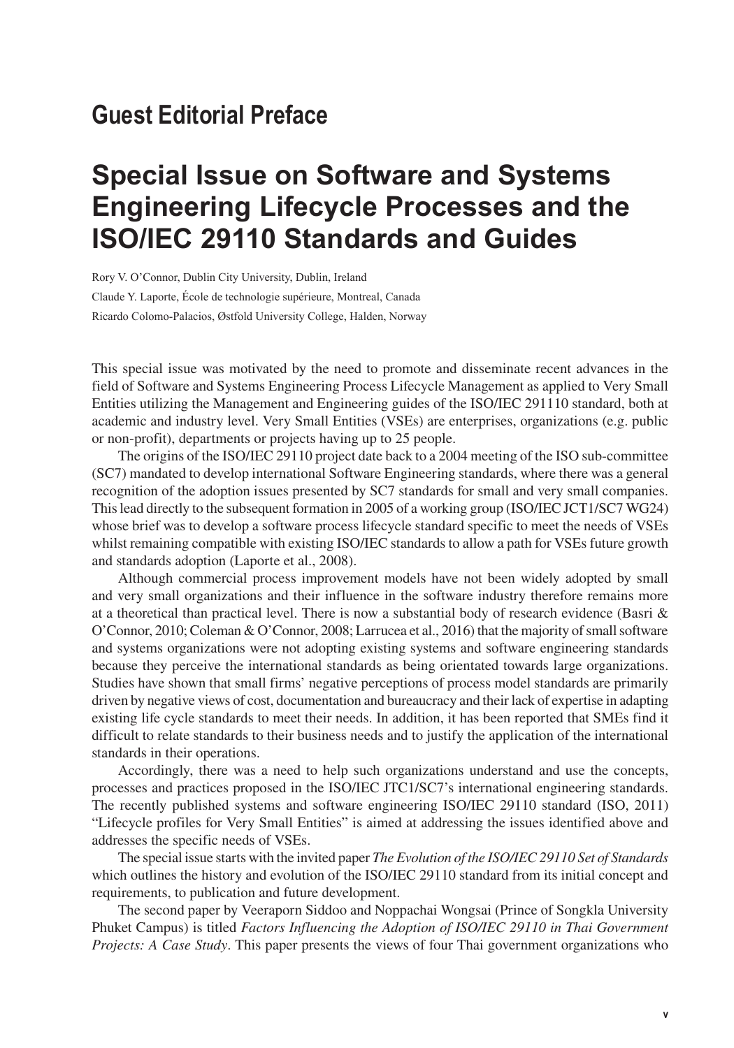## **Guest Editorial Preface**

# **Special Issue on Software and Systems Engineering Lifecycle Processes and the ISO/IEC 29110 Standards and Guides**

Rory V. O'Connor, Dublin City University, Dublin, Ireland Claude Y. Laporte, École de technologie supérieure, Montreal, Canada Ricardo Colomo-Palacios, Østfold University College, Halden, Norway

This special issue was motivated by the need to promote and disseminate recent advances in the field of Software and Systems Engineering Process Lifecycle Management as applied to Very Small Entities utilizing the Management and Engineering guides of the ISO/IEC 291110 standard, both at academic and industry level. Very Small Entities (VSEs) are enterprises, organizations (e.g. public or non-profit), departments or projects having up to 25 people.

The origins of the ISO/IEC 29110 project date back to a 2004 meeting of the ISO sub-committee (SC7) mandated to develop international Software Engineering standards, where there was a general recognition of the adoption issues presented by SC7 standards for small and very small companies. This lead directly to the subsequent formation in 2005 of a working group (ISO/IEC JCT1/SC7 WG24) whose brief was to develop a software process lifecycle standard specific to meet the needs of VSEs whilst remaining compatible with existing ISO/IEC standards to allow a path for VSEs future growth and standards adoption (Laporte et al., 2008).

Although commercial process improvement models have not been widely adopted by small and very small organizations and their influence in the software industry therefore remains more at a theoretical than practical level. There is now a substantial body of research evidence (Basri  $\&$ O'Connor, 2010; Coleman & O'Connor, 2008; Larrucea et al., 2016) that the majority of small software and systems organizations were not adopting existing systems and software engineering standards because they perceive the international standards as being orientated towards large organizations. Studies have shown that small firms' negative perceptions of process model standards are primarily driven by negative views of cost, documentation and bureaucracy and their lack of expertise in adapting existing life cycle standards to meet their needs. In addition, it has been reported that SMEs find it difficult to relate standards to their business needs and to justify the application of the international standards in their operations.

Accordingly, there was a need to help such organizations understand and use the concepts, processes and practices proposed in the ISO/IEC JTC1/SC7's international engineering standards. The recently published systems and software engineering ISO/IEC 29110 standard (ISO, 2011) "Lifecycle profiles for Very Small Entities" is aimed at addressing the issues identified above and addresses the specific needs of VSEs.

The special issue starts with the invited paper *The Evolution of the ISO/IEC 29110 Set of Standards* which outlines the history and evolution of the ISO/IEC 29110 standard from its initial concept and requirements, to publication and future development.

The second paper by Veeraporn Siddoo and Noppachai Wongsai (Prince of Songkla University Phuket Campus) is titled *Factors Influencing the Adoption of ISO/IEC 29110 in Thai Government Projects: A Case Study*. This paper presents the views of four Thai government organizations who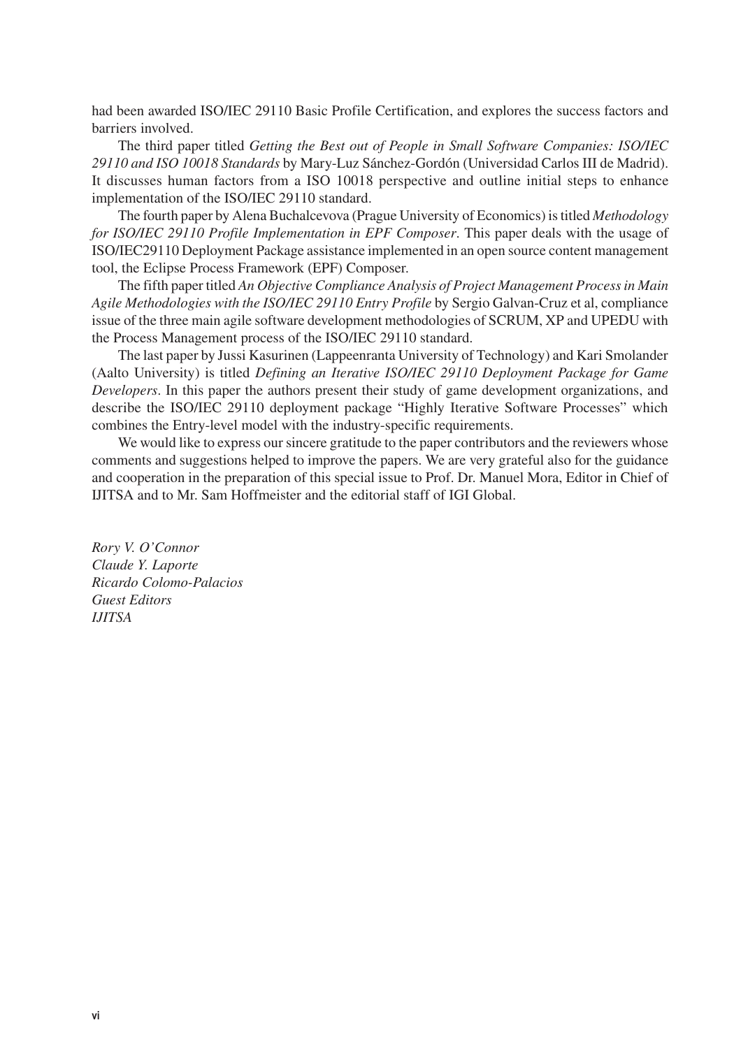had been awarded ISO/IEC 29110 Basic Profile Certification, and explores the success factors and barriers involved.

The third paper titled *Getting the Best out of People in Small Software Companies: ISO/IEC 29110 and ISO 10018 Standards* by Mary-Luz Sánchez-Gordón (Universidad Carlos III de Madrid). It discusses human factors from a ISO 10018 perspective and outline initial steps to enhance implementation of the ISO/IEC 29110 standard.

The fourth paper by Alena Buchalcevova (Prague University of Economics) is titled *Methodology for ISO/IEC 29110 Profile Implementation in EPF Composer*. This paper deals with the usage of ISO/IEC29110 Deployment Package assistance implemented in an open source content management tool, the Eclipse Process Framework (EPF) Composer.

The fifth paper titled *An Objective Compliance Analysis of Project Management Process in Main Agile Methodologies with the ISO/IEC 29110 Entry Profile* by Sergio Galvan-Cruz et al, compliance issue of the three main agile software development methodologies of SCRUM, XP and UPEDU with the Process Management process of the ISO/IEC 29110 standard.

The last paper by Jussi Kasurinen (Lappeenranta University of Technology) and Kari Smolander (Aalto University) is titled *Defining an Iterative ISO/IEC 29110 Deployment Package for Game Developers*. In this paper the authors present their study of game development organizations, and describe the ISO/IEC 29110 deployment package "Highly Iterative Software Processes" which combines the Entry-level model with the industry-specific requirements.

We would like to express our sincere gratitude to the paper contributors and the reviewers whose comments and suggestions helped to improve the papers. We are very grateful also for the guidance and cooperation in the preparation of this special issue to Prof. Dr. Manuel Mora, Editor in Chief of IJITSA and to Mr. Sam Hoffmeister and the editorial staff of IGI Global.

*Rory V. O'Connor Claude Y. Laporte Ricardo Colomo-Palacios Guest Editors IJITSA*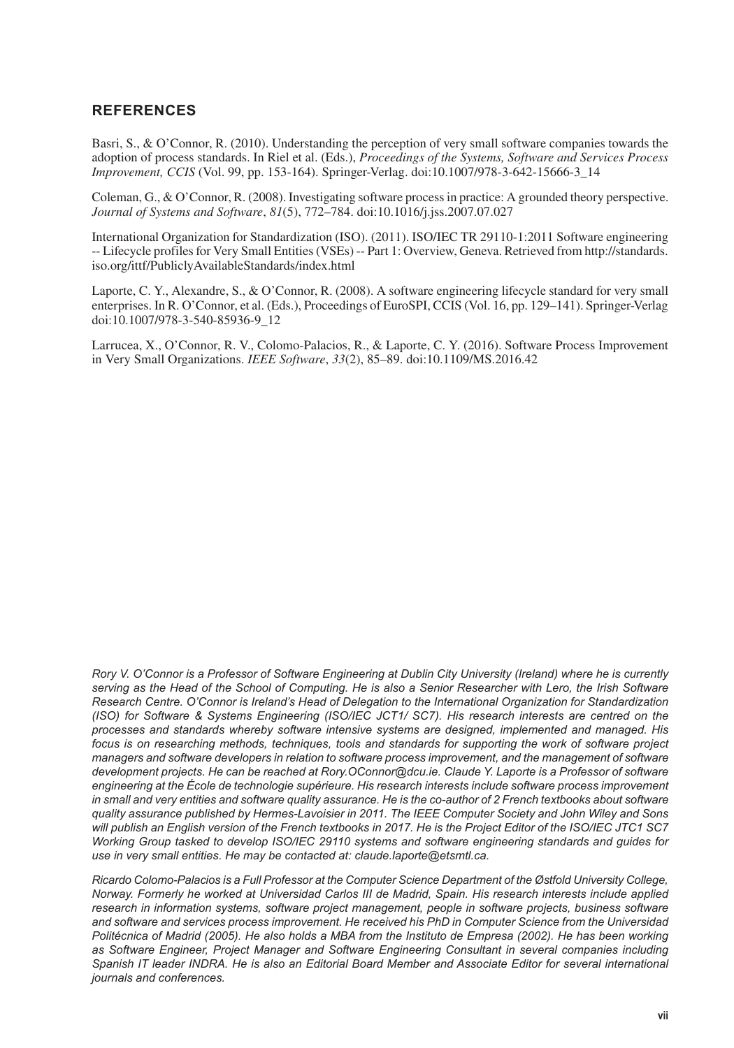### **REFERENCES**

Basri, S., & O'Connor, R. (2010). Understanding the perception of very small software companies towards the adoption of process standards. In Riel et al. (Eds.), *Proceedings of the Systems, Software and Services Process Improvement, CCIS* (Vol. 99, pp. 153-164). Springer-Verlag. doi:10.1007/978-3-642-15666-3\_14

Coleman, G., & O'Connor, R. (2008). Investigating software process in practice: A grounded theory perspective. *Journal of Systems and Software*, *81*(5), 772–784. doi:10.1016/j.jss.2007.07.027

International Organization for Standardization (ISO). (2011). ISO/IEC TR 29110-1:2011 Software engineering -- Lifecycle profiles for Very Small Entities (VSEs) -- Part 1: Overview, Geneva. Retrieved from http://standards. iso.org/ittf/PubliclyAvailableStandards/index.html

Laporte, C. Y., Alexandre, S., & O'Connor, R. (2008). A software engineering lifecycle standard for very small enterprises. In R. O'Connor, et al. (Eds.), Proceedings of EuroSPI, CCIS (Vol. 16, pp. 129–141). Springer-Verlag doi:10.1007/978-3-540-85936-9\_12

Larrucea, X., O'Connor, R. V., Colomo-Palacios, R., & Laporte, C. Y. (2016). Software Process Improvement in Very Small Organizations. *IEEE Software*, *33*(2), 85–89. doi:10.1109/MS.2016.42

*Rory V. O'Connor is a Professor of Software Engineering at Dublin City University (Ireland) where he is currently serving as the Head of the School of Computing. He is also a Senior Researcher with Lero, the Irish Software Research Centre. O'Connor is Ireland's Head of Delegation to the International Organization for Standardization (ISO) for Software & Systems Engineering (ISO/IEC JCT1/ SC7). His research interests are centred on the processes and standards whereby software intensive systems are designed, implemented and managed. His focus is on researching methods, techniques, tools and standards for supporting the work of software project managers and software developers in relation to software process improvement, and the management of software development projects. He can be reached at Rory.OConnor@dcu.ie. Claude Y. Laporte is a Professor of software engineering at the École de technologie supérieure. His research interests include software process improvement in small and very entities and software quality assurance. He is the co-author of 2 French textbooks about software quality assurance published by Hermes-Lavoisier in 2011. The IEEE Computer Society and John Wiley and Sons will publish an English version of the French textbooks in 2017. He is the Project Editor of the ISO/IEC JTC1 SC7 Working Group tasked to develop ISO/IEC 29110 systems and software engineering standards and guides for use in very small entities. He may be contacted at: claude.laporte@etsmtl.ca.*

*Ricardo Colomo-Palacios is a Full Professor at the Computer Science Department of the Østfold University College, Norway. Formerly he worked at Universidad Carlos III de Madrid, Spain. His research interests include applied research in information systems, software project management, people in software projects, business software and software and services process improvement. He received his PhD in Computer Science from the Universidad Politécnica of Madrid (2005). He also holds a MBA from the Instituto de Empresa (2002). He has been working*  as Software Engineer, Project Manager and Software Engineering Consultant in several companies including Spanish IT leader INDRA. He is also an Editorial Board Member and Associate Editor for several international *journals and conferences.*